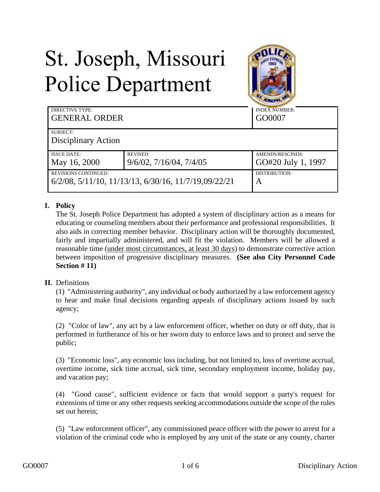# St. Joseph, Missouri Police Department



| <b>DIRECTIVE TYPE:</b><br><b>GENERAL ORDER</b>       |                                 | <b>INDEX NUMBER:</b><br>GO0007 |
|------------------------------------------------------|---------------------------------|--------------------------------|
| SUBJECT:                                             |                                 |                                |
| Disciplinary Action                                  |                                 |                                |
| <b>ISSUE DATE:</b>                                   | <b>REVISED:</b>                 | AMENDS/RESCINDS:               |
| May 16, 2000                                         | $9/6/02$ , $7/16/04$ , $7/4/05$ | GO#20 July 1, 1997             |
| <b>REVISIONS CONTINUED:</b>                          |                                 | DISTRIBUTION:                  |
| 6/2/08, 5/11/10, 11/13/13, 6/30/16, 11/7/19,09/22/21 |                                 | A                              |

### **I. Policy**

The St. Joseph Police Department has adopted a system of disciplinary action as a means for educating or counseling members about their performance and professional responsibilities. It also aids in correcting member behavior. Disciplinary action will be thoroughly documented, fairly and impartially administered, and will fit the violation. Members will be allowed a reasonable time (under most circumstances, at least 30 days) to demonstrate corrective action between imposition of progressive disciplinary measures. **(See also City Personnel Code Section # 11)**

### **II.** Definitions

(1) "Administering authority", any individual or body authorized by a law enforcement agency to hear and make final decisions regarding appeals of disciplinary actions issued by such agency;

(2) "Color of law", any act by a law enforcement officer, whether on duty or off duty, that is performed in furtherance of his or her sworn duty to enforce laws and to protect and serve the public;

(3) "Economic loss", any economic loss including, but not limited to, loss of overtime accrual, overtime income, sick time accrual, sick time, secondary employment income, holiday pay, and vacation pay;

(4) "Good cause", sufficient evidence or facts that would support a party's request for extensions of time or any other requests seeking accommodations outside the scope of the rules set out herein;

(5) "Law enforcement officer", any commissioned peace officer with the power to arrest for a violation of the criminal code who is employed by any unit of the state or any county, charter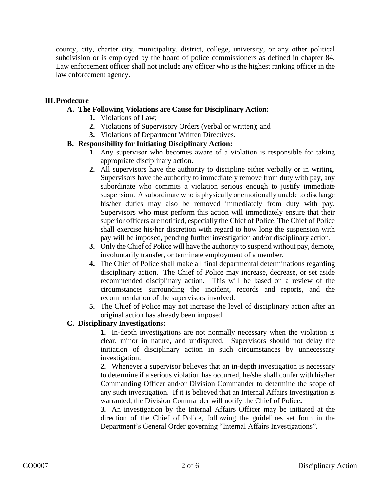county, city, charter city, municipality, district, college, university, or any other political subdivision or is employed by the board of police commissioners as defined in chapter 84. Law enforcement officer shall not include any officer who is the highest ranking officer in the law enforcement agency.

### **III.Prodecure**

### **A. The Following Violations are Cause for Disciplinary Action:**

- **1.** Violations of Law;
- **2.** Violations of Supervisory Orders (verbal or written); and
- **3.** Violations of Department Written Directives.

## **B. Responsibility for Initiating Disciplinary Action:**

- **1.** Any supervisor who becomes aware of a violation is responsible for taking appropriate disciplinary action.
- **2.** All supervisors have the authority to discipline either verbally or in writing. Supervisors have the authority to immediately remove from duty with pay, any subordinate who commits a violation serious enough to justify immediate suspension. A subordinate who is physically or emotionally unable to discharge his/her duties may also be removed immediately from duty with pay. Supervisors who must perform this action will immediately ensure that their superior officers are notified, especially the Chief of Police. The Chief of Police shall exercise his/her discretion with regard to how long the suspension with pay will be imposed, pending further investigation and/or disciplinary action.
- **3.** Only the Chief of Police will have the authority to suspend without pay, demote, involuntarily transfer, or terminate employment of a member.
- **4.** The Chief of Police shall make all final departmental determinations regarding disciplinary action. The Chief of Police may increase, decrease, or set aside recommended disciplinary action. This will be based on a review of the circumstances surrounding the incident, records and reports, and the recommendation of the supervisors involved.
- **5.** The Chief of Police may not increase the level of disciplinary action after an original action has already been imposed.

### **C. Disciplinary Investigations:**

**1.** In-depth investigations are not normally necessary when the violation is clear, minor in nature, and undisputed. Supervisors should not delay the initiation of disciplinary action in such circumstances by unnecessary investigation.

**2.** Whenever a supervisor believes that an in-depth investigation is necessary to determine if a serious violation has occurred, he/she shall confer with his/her Commanding Officer and/or Division Commander to determine the scope of any such investigation. If it is believed that an Internal Affairs Investigation is warranted, the Division Commander will notify the Chief of Police**.**

**3.** An investigation by the Internal Affairs Officer may be initiated at the direction of the Chief of Police, following the guidelines set forth in the Department's General Order governing "Internal Affairs Investigations".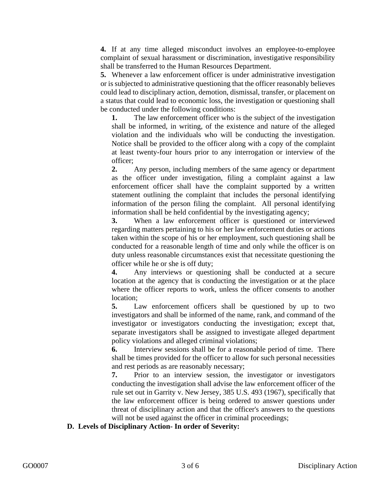**4.** If at any time alleged misconduct involves an employee-to-employee complaint of sexual harassment or discrimination, investigative responsibility shall be transferred to the Human Resources Department.

**5.** Whenever a law enforcement officer is under administrative investigation or is subjected to administrative questioning that the officer reasonably believes could lead to disciplinary action, demotion, dismissal, transfer, or placement on a status that could lead to economic loss, the investigation or questioning shall be conducted under the following conditions:

**1.** The law enforcement officer who is the subject of the investigation shall be informed, in writing, of the existence and nature of the alleged violation and the individuals who will be conducting the investigation. Notice shall be provided to the officer along with a copy of the complaint at least twenty-four hours prior to any interrogation or interview of the officer;

**2.** Any person, including members of the same agency or department as the officer under investigation, filing a complaint against a law enforcement officer shall have the complaint supported by a written statement outlining the complaint that includes the personal identifying information of the person filing the complaint. All personal identifying information shall be held confidential by the investigating agency;

**3.** When a law enforcement officer is questioned or interviewed regarding matters pertaining to his or her law enforcement duties or actions taken within the scope of his or her employment, such questioning shall be conducted for a reasonable length of time and only while the officer is on duty unless reasonable circumstances exist that necessitate questioning the officer while he or she is off duty;

**4.** Any interviews or questioning shall be conducted at a secure location at the agency that is conducting the investigation or at the place where the officer reports to work, unless the officer consents to another location;

**5.** Law enforcement officers shall be questioned by up to two investigators and shall be informed of the name, rank, and command of the investigator or investigators conducting the investigation; except that, separate investigators shall be assigned to investigate alleged department policy violations and alleged criminal violations;

**6.** Interview sessions shall be for a reasonable period of time. There shall be times provided for the officer to allow for such personal necessities and rest periods as are reasonably necessary;

**7.** Prior to an interview session, the investigator or investigators conducting the investigation shall advise the law enforcement officer of the rule set out in Garrity v. New Jersey, 385 U.S. 493 (1967), specifically that the law enforcement officer is being ordered to answer questions under threat of disciplinary action and that the officer's answers to the questions will not be used against the officer in criminal proceedings;

#### **D. Levels of Disciplinary Action- In order of Severity:**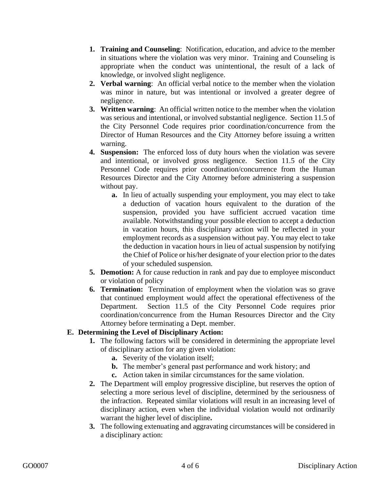- **1. Training and Counseling**: Notification, education, and advice to the member in situations where the violation was very minor. Training and Counseling is appropriate when the conduct was unintentional, the result of a lack of knowledge, or involved slight negligence.
- **2. Verbal warning**: An official verbal notice to the member when the violation was minor in nature, but was intentional or involved a greater degree of negligence.
- **3. Written warning**: An official written notice to the member when the violation was serious and intentional, or involved substantial negligence. Section 11.5 of the City Personnel Code requires prior coordination/concurrence from the Director of Human Resources and the City Attorney before issuing a written warning.
- **4. Suspension:** The enforced loss of duty hours when the violation was severe and intentional, or involved gross negligence. Section 11.5 of the City Personnel Code requires prior coordination/concurrence from the Human Resources Director and the City Attorney before administering a suspension without pay.
	- **a.** In lieu of actually suspending your employment, you may elect to take a deduction of vacation hours equivalent to the duration of the suspension, provided you have sufficient accrued vacation time available. Notwithstanding your possible election to accept a deduction in vacation hours, this disciplinary action will be reflected in your employment records as a suspension without pay. You may elect to take the deduction in vacation hours in lieu of actual suspension by notifying the Chief of Police or his/her designate of your election prior to the dates of your scheduled suspension.
- **5. Demotion:** A for cause reduction in rank and pay due to employee misconduct or violation of policy
- **6. Termination:** Termination of employment when the violation was so grave that continued employment would affect the operational effectiveness of the Department. Section 11.5 of the City Personnel Code requires prior coordination/concurrence from the Human Resources Director and the City Attorney before terminating a Dept. member.

### **E. Determining the Level of Disciplinary Action:**

- **1.** The following factors will be considered in determining the appropriate level of disciplinary action for any given violation:
	- **a.** Severity of the violation itself;
	- **b.** The member's general past performance and work history; and
	- **c.** Action taken in similar circumstances for the same violation.
- **2.** The Department will employ progressive discipline, but reserves the option of selecting a more serious level of discipline, determined by the seriousness of the infraction. Repeated similar violations will result in an increasing level of disciplinary action, even when the individual violation would not ordinarily warrant the higher level of discipline**.**
- **3.** The following extenuating and aggravating circumstances will be considered in a disciplinary action: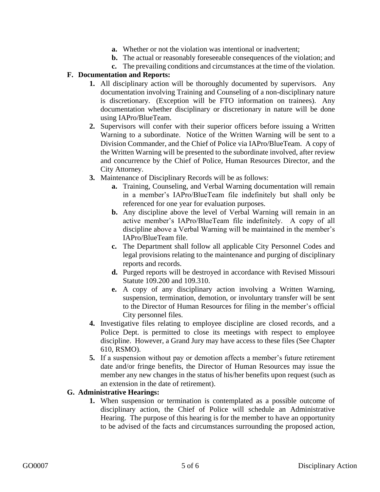- **a.** Whether or not the violation was intentional or inadvertent;
- **b.** The actual or reasonably foreseeable consequences of the violation; and
- **c.** The prevailing conditions and circumstances at the time of the violation.

### **F. Documentation and Reports:**

- **1.** All disciplinary action will be thoroughly documented by supervisors. Any documentation involving Training and Counseling of a non-disciplinary nature is discretionary. (Exception will be FTO information on trainees). Any documentation whether disciplinary or discretionary in nature will be done using IAPro/BlueTeam.
- **2.** Supervisors will confer with their superior officers before issuing a Written Warning to a subordinate. Notice of the Written Warning will be sent to a Division Commander, and the Chief of Police via IAPro/BlueTeam. A copy of the Written Warning will be presented to the subordinate involved, after review and concurrence by the Chief of Police, Human Resources Director, and the City Attorney.
- **3.** Maintenance of Disciplinary Records will be as follows:
	- **a.** Training, Counseling, and Verbal Warning documentation will remain in a member's IAPro/BlueTeam file indefinitely but shall only be referenced for one year for evaluation purposes.
	- **b.** Any discipline above the level of Verbal Warning will remain in an active member's IAPro/BlueTeam file indefinitely. A copy of all discipline above a Verbal Warning will be maintained in the member's IAPro/BlueTeam file.
	- **c.** The Department shall follow all applicable City Personnel Codes and legal provisions relating to the maintenance and purging of disciplinary reports and records.
	- **d.** Purged reports will be destroyed in accordance with Revised Missouri Statute 109.200 and 109.310.
	- **e.** A copy of any disciplinary action involving a Written Warning, suspension, termination, demotion, or involuntary transfer will be sent to the Director of Human Resources for filing in the member's official City personnel files.
- **4.** Investigative files relating to employee discipline are closed records, and a Police Dept. is permitted to close its meetings with respect to employee discipline. However, a Grand Jury may have access to these files (See Chapter 610, RSMO).
- **5.** If a suspension without pay or demotion affects a member's future retirement date and/or fringe benefits, the Director of Human Resources may issue the member any new changes in the status of his/her benefits upon request (such as an extension in the date of retirement).

### **G. Administrative Hearings:**

**1.** When suspension or termination is contemplated as a possible outcome of disciplinary action, the Chief of Police will schedule an Administrative Hearing. The purpose of this hearing is for the member to have an opportunity to be advised of the facts and circumstances surrounding the proposed action,